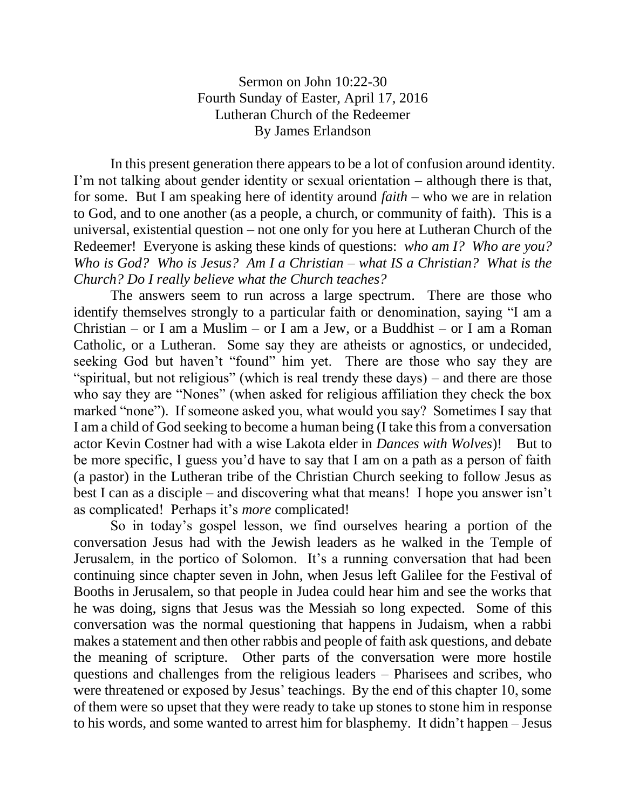Sermon on John 10:22-30 Fourth Sunday of Easter, April 17, 2016 Lutheran Church of the Redeemer By James Erlandson

In this present generation there appears to be a lot of confusion around identity. I'm not talking about gender identity or sexual orientation – although there is that, for some. But I am speaking here of identity around *faith* – who we are in relation to God, and to one another (as a people, a church, or community of faith). This is a universal, existential question – not one only for you here at Lutheran Church of the Redeemer! Everyone is asking these kinds of questions: *who am I? Who are you? Who is God? Who is Jesus? Am I a Christian – what IS a Christian? What is the Church? Do I really believe what the Church teaches?*

The answers seem to run across a large spectrum. There are those who identify themselves strongly to a particular faith or denomination, saying "I am a Christian – or I am a Muslim – or I am a Jew, or a Buddhist – or I am a Roman Catholic, or a Lutheran. Some say they are atheists or agnostics, or undecided, seeking God but haven't "found" him yet. There are those who say they are "spiritual, but not religious" (which is real trendy these days) – and there are those who say they are "Nones" (when asked for religious affiliation they check the box marked "none"). If someone asked you, what would you say? Sometimes I say that I am a child of God seeking to become a human being (I take this from a conversation actor Kevin Costner had with a wise Lakota elder in *Dances with Wolves*)! But to be more specific, I guess you'd have to say that I am on a path as a person of faith (a pastor) in the Lutheran tribe of the Christian Church seeking to follow Jesus as best I can as a disciple – and discovering what that means! I hope you answer isn't as complicated! Perhaps it's *more* complicated!

So in today's gospel lesson, we find ourselves hearing a portion of the conversation Jesus had with the Jewish leaders as he walked in the Temple of Jerusalem, in the portico of Solomon. It's a running conversation that had been continuing since chapter seven in John, when Jesus left Galilee for the Festival of Booths in Jerusalem, so that people in Judea could hear him and see the works that he was doing, signs that Jesus was the Messiah so long expected. Some of this conversation was the normal questioning that happens in Judaism, when a rabbi makes a statement and then other rabbis and people of faith ask questions, and debate the meaning of scripture. Other parts of the conversation were more hostile questions and challenges from the religious leaders – Pharisees and scribes, who were threatened or exposed by Jesus' teachings. By the end of this chapter 10, some of them were so upset that they were ready to take up stones to stone him in response to his words, and some wanted to arrest him for blasphemy. It didn't happen – Jesus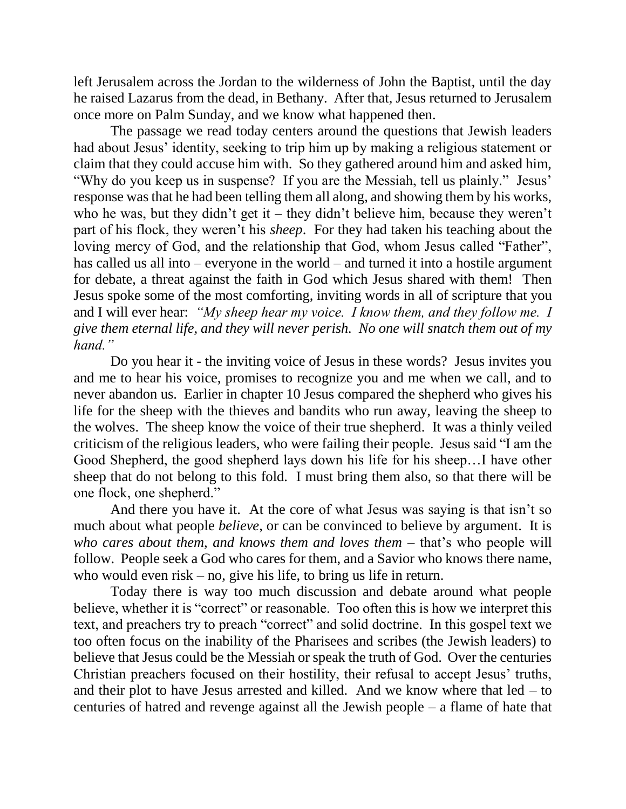left Jerusalem across the Jordan to the wilderness of John the Baptist, until the day he raised Lazarus from the dead, in Bethany. After that, Jesus returned to Jerusalem once more on Palm Sunday, and we know what happened then.

The passage we read today centers around the questions that Jewish leaders had about Jesus' identity, seeking to trip him up by making a religious statement or claim that they could accuse him with. So they gathered around him and asked him, "Why do you keep us in suspense? If you are the Messiah, tell us plainly." Jesus' response was that he had been telling them all along, and showing them by his works, who he was, but they didn't get it – they didn't believe him, because they weren't part of his flock, they weren't his *sheep*. For they had taken his teaching about the loving mercy of God, and the relationship that God, whom Jesus called "Father", has called us all into – everyone in the world – and turned it into a hostile argument for debate, a threat against the faith in God which Jesus shared with them! Then Jesus spoke some of the most comforting, inviting words in all of scripture that you and I will ever hear: *"My sheep hear my voice. I know them, and they follow me. I give them eternal life, and they will never perish. No one will snatch them out of my hand."*

Do you hear it - the inviting voice of Jesus in these words? Jesus invites you and me to hear his voice, promises to recognize you and me when we call, and to never abandon us. Earlier in chapter 10 Jesus compared the shepherd who gives his life for the sheep with the thieves and bandits who run away, leaving the sheep to the wolves. The sheep know the voice of their true shepherd. It was a thinly veiled criticism of the religious leaders, who were failing their people. Jesus said "I am the Good Shepherd, the good shepherd lays down his life for his sheep…I have other sheep that do not belong to this fold. I must bring them also, so that there will be one flock, one shepherd."

And there you have it. At the core of what Jesus was saying is that isn't so much about what people *believe*, or can be convinced to believe by argument. It is *who cares about them, and knows them and loves them* – that's who people will follow. People seek a God who cares for them, and a Savior who knows there name, who would even risk – no, give his life, to bring us life in return.

Today there is way too much discussion and debate around what people believe, whether it is "correct" or reasonable. Too often this is how we interpret this text, and preachers try to preach "correct" and solid doctrine. In this gospel text we too often focus on the inability of the Pharisees and scribes (the Jewish leaders) to believe that Jesus could be the Messiah or speak the truth of God. Over the centuries Christian preachers focused on their hostility, their refusal to accept Jesus' truths, and their plot to have Jesus arrested and killed. And we know where that  $\text{led} - \text{to}$ centuries of hatred and revenge against all the Jewish people – a flame of hate that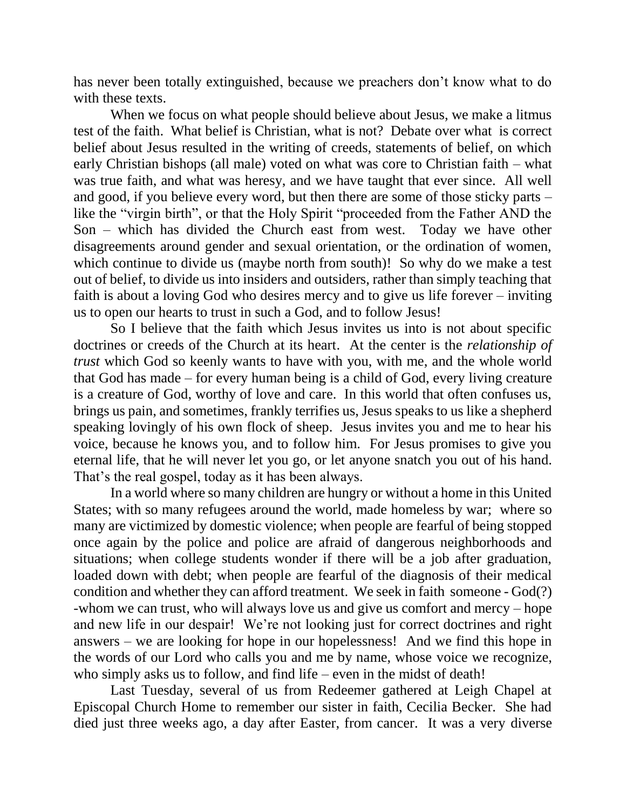has never been totally extinguished, because we preachers don't know what to do with these texts.

When we focus on what people should believe about Jesus, we make a litmus test of the faith. What belief is Christian, what is not? Debate over what is correct belief about Jesus resulted in the writing of creeds, statements of belief, on which early Christian bishops (all male) voted on what was core to Christian faith – what was true faith, and what was heresy, and we have taught that ever since. All well and good, if you believe every word, but then there are some of those sticky parts – like the "virgin birth", or that the Holy Spirit "proceeded from the Father AND the Son – which has divided the Church east from west. Today we have other disagreements around gender and sexual orientation, or the ordination of women, which continue to divide us (maybe north from south)! So why do we make a test out of belief, to divide us into insiders and outsiders, rather than simply teaching that faith is about a loving God who desires mercy and to give us life forever – inviting us to open our hearts to trust in such a God, and to follow Jesus!

So I believe that the faith which Jesus invites us into is not about specific doctrines or creeds of the Church at its heart. At the center is the *relationship of trust* which God so keenly wants to have with you, with me, and the whole world that God has made – for every human being is a child of God, every living creature is a creature of God, worthy of love and care. In this world that often confuses us, brings us pain, and sometimes, frankly terrifies us, Jesus speaks to us like a shepherd speaking lovingly of his own flock of sheep. Jesus invites you and me to hear his voice, because he knows you, and to follow him. For Jesus promises to give you eternal life, that he will never let you go, or let anyone snatch you out of his hand. That's the real gospel, today as it has been always.

In a world where so many children are hungry or without a home in this United States; with so many refugees around the world, made homeless by war; where so many are victimized by domestic violence; when people are fearful of being stopped once again by the police and police are afraid of dangerous neighborhoods and situations; when college students wonder if there will be a job after graduation, loaded down with debt; when people are fearful of the diagnosis of their medical condition and whether they can afford treatment. We seek in faith someone - God(?) -whom we can trust, who will always love us and give us comfort and mercy – hope and new life in our despair! We're not looking just for correct doctrines and right answers – we are looking for hope in our hopelessness! And we find this hope in the words of our Lord who calls you and me by name, whose voice we recognize, who simply asks us to follow, and find life – even in the midst of death!

Last Tuesday, several of us from Redeemer gathered at Leigh Chapel at Episcopal Church Home to remember our sister in faith, Cecilia Becker. She had died just three weeks ago, a day after Easter, from cancer. It was a very diverse